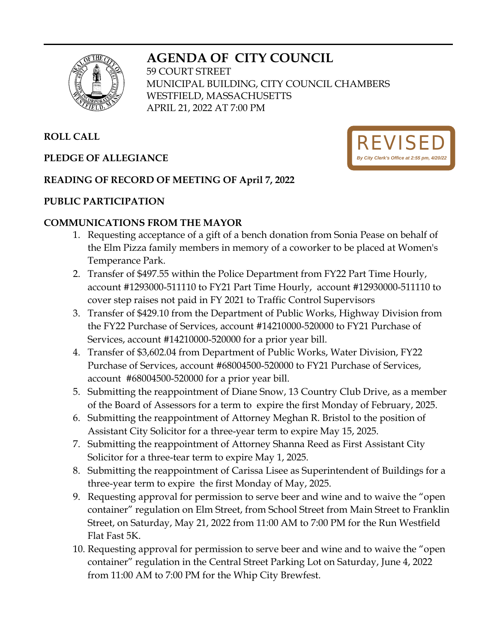# **AGENDA OF CITY COUNCIL**



59 COURT STREET MUNICIPAL BUILDING, CITY COUNCIL CHAMBERS WESTFIELD, MASSACHUSETTS APRIL 21, 2022 AT 7:00 PM

# **ROLL CALL**

## **PLEDGE OF ALLEGIANCE**



## **READING OF RECORD OF MEETING OF April 7, 2022**

#### **PUBLIC PARTICIPATION**

#### **COMMUNICATIONS FROM THE MAYOR**

- 1. Requesting acceptance of a gift of a bench donation from Sonia Pease on behalf of the Elm Pizza family members in memory of a coworker to be placed at Women's Temperance Park.
- 2. Transfer of \$497.55 within the Police Department from FY22 Part Time Hourly, account #1293000-511110 to FY21 Part Time Hourly, account #12930000-511110 to cover step raises not paid in FY 2021 to Traffic Control Supervisors
- 3. Transfer of \$429.10 from the Department of Public Works, Highway Division from the FY22 Purchase of Services, account #14210000-520000 to FY21 Purchase of Services, account #14210000-520000 for a prior year bill.
- 4. Transfer of \$3,602.04 from Department of Public Works, Water Division, FY22 Purchase of Services, account #68004500-520000 to FY21 Purchase of Services, account #68004500-520000 for a prior year bill.
- 5. Submitting the reappointment of Diane Snow, 13 Country Club Drive, as a member of the Board of Assessors for a term to expire the first Monday of February, 2025.
- 6. Submitting the reappointment of Attorney Meghan R. Bristol to the position of Assistant City Solicitor for a three-year term to expire May 15, 2025.
- 7. Submitting the reappointment of Attorney Shanna Reed as First Assistant City Solicitor for a three-tear term to expire May 1, 2025.
- 8. Submitting the reappointment of Carissa Lisee as Superintendent of Buildings for a three-year term to expire the first Monday of May, 2025.
- 9. Requesting approval for permission to serve beer and wine and to waive the "open container" regulation on Elm Street, from School Street from Main Street to Franklin Street, on Saturday, May 21, 2022 from 11:00 AM to 7:00 PM for the Run Westfield Flat Fast 5K.
- 10. Requesting approval for permission to serve beer and wine and to waive the "open container" regulation in the Central Street Parking Lot on Saturday, June 4, 2022 from 11:00 AM to 7:00 PM for the Whip City Brewfest.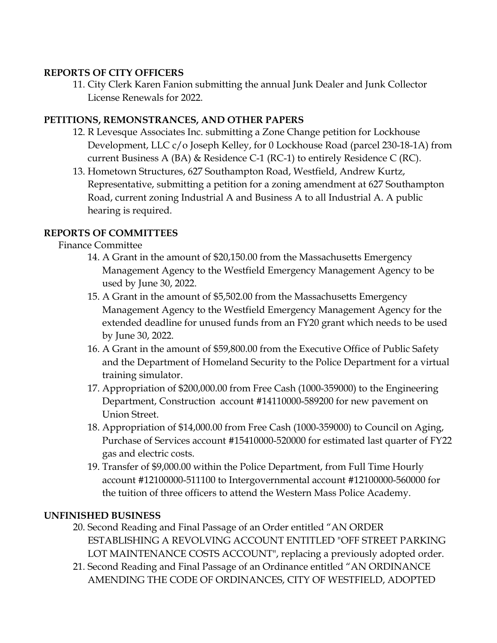#### **REPORTS OF CITY OFFICERS**

11. City Clerk Karen Fanion submitting the annual Junk Dealer and Junk Collector License Renewals for 2022.

## **PETITIONS, REMONSTRANCES, AND OTHER PAPERS**

- 12. R Levesque Associates Inc. submitting a Zone Change petition for Lockhouse Development, LLC c/o Joseph Kelley, for 0 Lockhouse Road (parcel 230-18-1A) from current Business A (BA) & Residence C-1 (RC-1) to entirely Residence C (RC).
- 13. Hometown Structures, 627 Southampton Road, Westfield, Andrew Kurtz, Representative, submitting a petition for a zoning amendment at 627 Southampton Road, current zoning Industrial A and Business A to all Industrial A. A public hearing is required.

## **REPORTS OF COMMITTEES**

#### Finance Committee

- 14. A Grant in the amount of \$20,150.00 from the Massachusetts Emergency Management Agency to the Westfield Emergency Management Agency to be used by June 30, 2022.
- 15. A Grant in the amount of \$5,502.00 from the Massachusetts Emergency Management Agency to the Westfield Emergency Management Agency for the extended deadline for unused funds from an FY20 grant which needs to be used by June 30, 2022.
- 16. A Grant in the amount of \$59,800.00 from the Executive Office of Public Safety and the Department of Homeland Security to the Police Department for a virtual training simulator.
- 17. Appropriation of \$200,000.00 from Free Cash (1000-359000) to the Engineering Department, Construction account #14110000-589200 for new pavement on Union Street.
- 18. Appropriation of \$14,000.00 from Free Cash (1000-359000) to Council on Aging, Purchase of Services account #15410000-520000 for estimated last quarter of FY22 gas and electric costs.
- 19. Transfer of \$9,000.00 within the Police Department, from Full Time Hourly account #12100000-511100 to Intergovernmental account #12100000-560000 for the tuition of three officers to attend the Western Mass Police Academy.

## **UNFINISHED BUSINESS**

- 20. Second Reading and Final Passage of an Order entitled "AN ORDER ESTABLISHING A REVOLVING ACCOUNT ENTITLED "OFF STREET PARKING LOT MAINTENANCE COSTS ACCOUNT", replacing a previously adopted order.
- 21. Second Reading and Final Passage of an Ordinance entitled "AN ORDINANCE AMENDING THE CODE OF ORDINANCES, CITY OF WESTFIELD, ADOPTED